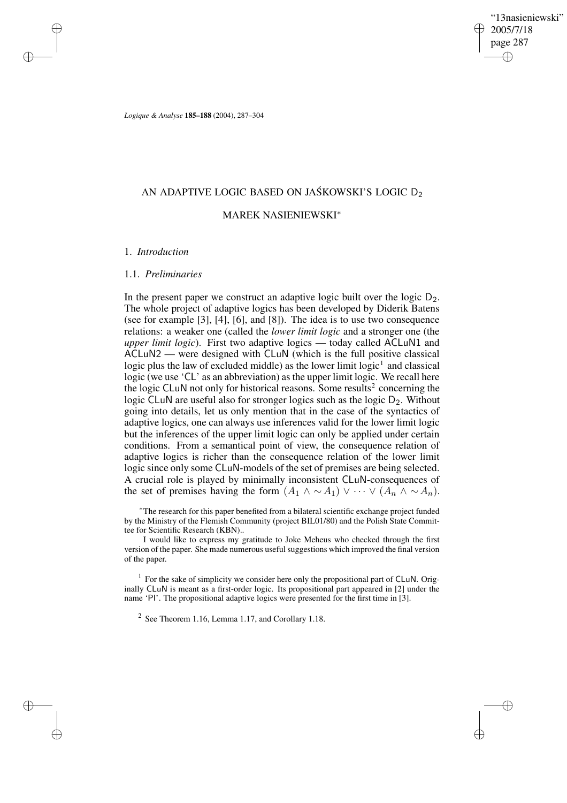"13nasieniewski" 2005/7/18 page 287 ✐ ✐

✐

✐

*Logique & Analyse* **185–188** (2004), 287–304

# AN ADAPTIVE LOGIC BASED ON JAŚKOWSKI'S LOGIC D $_2$

## MAREK NASIENIEWSKI<sup>∗</sup>

### 1. *Introduction*

✐

✐

✐

✐

### 1.1. *Preliminaries*

In the present paper we construct an adaptive logic built over the logic  $D_2$ . The whole project of adaptive logics has been developed by Diderik Batens (see for example [3], [4], [6], and [8]). The idea is to use two consequence relations: a weaker one (called the *lower limit logic* and a stronger one (the *upper limit logic*). First two adaptive logics — today called ACLuN1 and ACLuN2 — were designed with CLuN (which is the full positive classical logic plus the law of excluded middle) as the lower limit  $logic<sup>1</sup>$  and classical logic (we use 'CL' as an abbreviation) as the upper limit logic. We recall here the logic CLuN not only for historical reasons. Some results<sup>2</sup> concerning the logic CLuN are useful also for stronger logics such as the logic D<sub>2</sub>. Without going into details, let us only mention that in the case of the syntactics of adaptive logics, one can always use inferences valid for the lower limit logic but the inferences of the upper limit logic can only be applied under certain conditions. From a semantical point of view, the consequence relation of adaptive logics is richer than the consequence relation of the lower limit logic since only some CLuN-models of the set of premises are being selected. A crucial role is played by minimally inconsistent CLuN-consequences of the set of premises having the form  $(A_1 \wedge \sim A_1) \vee \cdots \vee (A_n \wedge \sim A_n)$ .

<sup>∗</sup>The research for this paper benefited from a bilateral scientific exchange project funded by the Ministry of the Flemish Community (project BIL01/80) and the Polish State Committee for Scientific Research (KBN)..

I would like to express my gratitude to Joke Meheus who checked through the first version of the paper. She made numerous useful suggestions which improved the final version of the paper.

 $<sup>1</sup>$  For the sake of simplicity we consider here only the propositional part of CLuN. Orig-</sup> inally CLuN is meant as a first-order logic. Its propositional part appeared in [2] under the name 'PI'. The propositional adaptive logics were presented for the first time in [3].

<sup>2</sup> See Theorem 1.16, Lemma 1.17, and Corollary 1.18.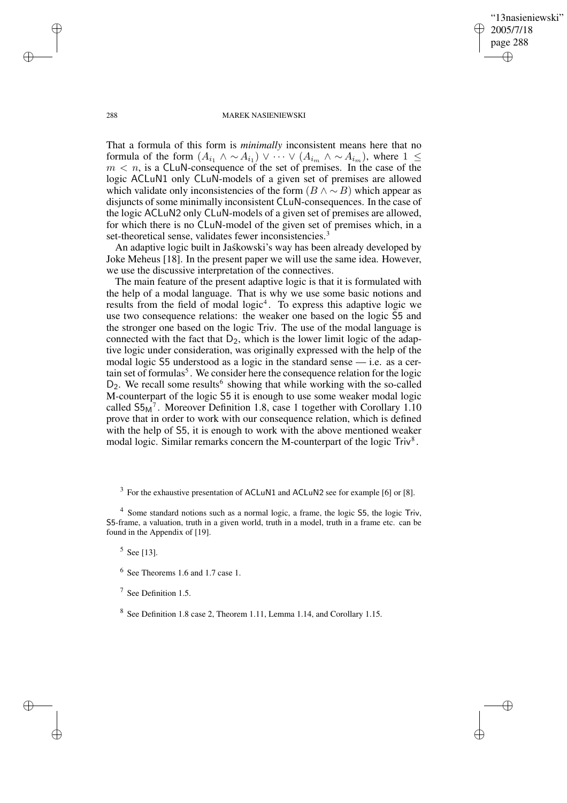✐

### 288 MAREK NASIENIEWSKI

That a formula of this form is *minimally* inconsistent means here that no formula of the form  $(A_{i_1} \wedge \sim A_{i_1}) \vee \cdots \vee (A_{i_m} \wedge \sim A_{i_m})$ , where  $1 \leq$  $m < n$ , is a CLuN-consequence of the set of premises. In the case of the logic ACLuN1 only CLuN-models of a given set of premises are allowed which validate only inconsistencies of the form  $(B \land \sim B)$  which appear as disjuncts of some minimally inconsistent CLuN-consequences. In the case of the logic ACLuN2 only CLuN-models of a given set of premises are allowed, for which there is no CLuN-model of the given set of premises which, in a set-theoretical sense, validates fewer inconsistencies.<sup>3</sup>

An adaptive logic built in Jaskowski's way has been already developed by Joke Meheus [18]. In the present paper we will use the same idea. However, we use the discussive interpretation of the connectives.

The main feature of the present adaptive logic is that it is formulated with the help of a modal language. That is why we use some basic notions and results from the field of modal logic<sup>4</sup>. To express this adaptive logic we use two consequence relations: the weaker one based on the logic S5 and the stronger one based on the logic Triv. The use of the modal language is connected with the fact that  $D_2$ , which is the lower limit logic of the adaptive logic under consideration, was originally expressed with the help of the modal logic S5 understood as a logic in the standard sense — i.e. as a certain set of formulas<sup>5</sup>. We consider here the consequence relation for the logic D<sub>2</sub>. We recall some results<sup>6</sup> showing that while working with the so-called M-counterpart of the logic S5 it is enough to use some weaker modal logic called  $S5<sub>M</sub><sup>7</sup>$ . Moreover Definition 1.8, case 1 together with Corollary 1.10 prove that in order to work with our consequence relation, which is defined with the help of S5, it is enough to work with the above mentioned weaker modal logic. Similar remarks concern the M-counterpart of the logic  $\text{Triv}^8$ .

 $3$  For the exhaustive presentation of ACLuN1 and ACLuN2 see for example [6] or [8].

 $5$  See [13].

✐

✐

✐

<sup>&</sup>lt;sup>4</sup> Some standard notions such as a normal logic, a frame, the logic 55, the logic Triv, S5-frame, a valuation, truth in a given world, truth in a model, truth in a frame etc. can be found in the Appendix of [19].

<sup>6</sup> See Theorems 1.6 and 1.7 case 1.

<sup>7</sup> See Definition 1.5.

<sup>&</sup>lt;sup>8</sup> See Definition 1.8 case 2, Theorem 1.11, Lemma 1.14, and Corollary 1.15.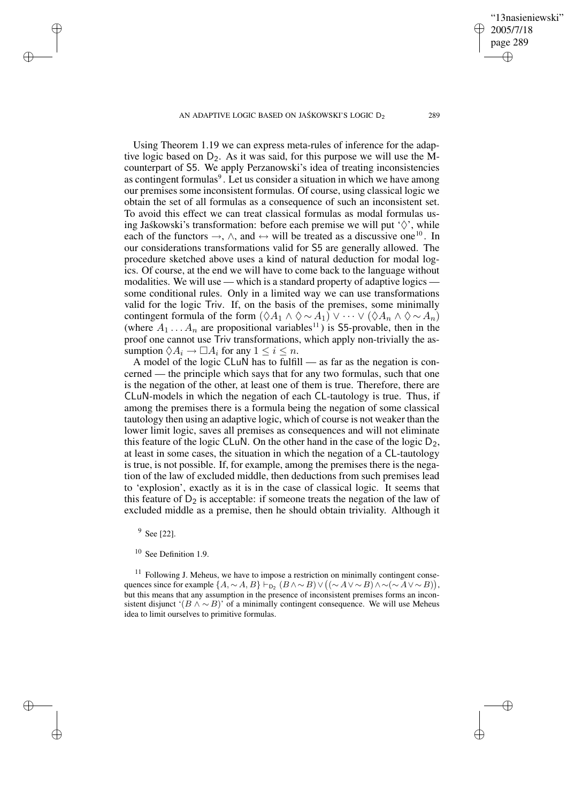AN ADAPTIVE LOGIC BASED ON JAŚKOWSKI'S LOGIC  $D_2$  289

Using Theorem 1.19 we can express meta-rules of inference for the adaptive logic based on  $D_2$ . As it was said, for this purpose we will use the Mcounterpart of S5. We apply Perzanowski's idea of treating inconsistencies as contingent formulas<sup>9</sup>. Let us consider a situation in which we have among our premises some inconsistent formulas. Of course, using classical logic we obtain the set of all formulas as a consequence of such an inconsistent set. To avoid this effect we can treat classical formulas as modal formulas using Jaskowski's transformation: before each premise we will put ' $\Diamond$ ', while each of the functors  $\rightarrow$ ,  $\land$ , and  $\leftrightarrow$  will be treated as a discussive one<sup>10</sup>. In our considerations transformations valid for S5 are generally allowed. The procedure sketched above uses a kind of natural deduction for modal logics. Of course, at the end we will have to come back to the language without modalities. We will use — which is a standard property of adaptive logics some conditional rules. Only in a limited way we can use transformations valid for the logic Triv. If, on the basis of the premises, some minimally contingent formula of the form  $(\lozenge A_1 \wedge \lozenge \sim A_1) \vee \cdots \vee (\lozenge A_n \wedge \lozenge \sim A_n)$ (where  $A_1 \ldots A_n$  are propositional variables<sup>11</sup>) is S5-provable, then in the proof one cannot use Triv transformations, which apply non-trivially the assumption  $\Diamond A_i \rightarrow \Box A_i$  for any  $1 \leq i \leq n$ .

A model of the logic CLuN has to fulfill — as far as the negation is concerned — the principle which says that for any two formulas, such that one is the negation of the other, at least one of them is true. Therefore, there are CLuN-models in which the negation of each CL-tautology is true. Thus, if among the premises there is a formula being the negation of some classical tautology then using an adaptive logic, which of course is not weaker than the lower limit logic, saves all premises as consequences and will not eliminate this feature of the logic CLuN. On the other hand in the case of the logic  $D_2$ , at least in some cases, the situation in which the negation of a CL-tautology is true, is not possible. If, for example, among the premises there is the negation of the law of excluded middle, then deductions from such premises lead to 'explosion', exactly as it is in the case of classical logic. It seems that this feature of  $D_2$  is acceptable: if someone treats the negation of the law of excluded middle as a premise, then he should obtain triviality. Although it

<sup>9</sup> See [22].

✐

✐

✐

✐

 $11$  Following J. Meheus, we have to impose a restriction on minimally contingent consequences since for example  $\{A, \sim A, B\} \vdash_{\mathsf{D}_2} (B \land \sim B) \lor ((\sim A \lor \sim B) \land \sim (\sim A \lor \sim B)),$ but this means that any assumption in the presence of inconsistent premises forms an inconsistent disjunct ' $(B \wedge \sim B)$ ' of a minimally contingent consequence. We will use Meheus idea to limit ourselves to primitive formulas.

"13nasieniewski"

2005/7/18 page 289

✐

✐

✐

<sup>10</sup> See Definition 1.9.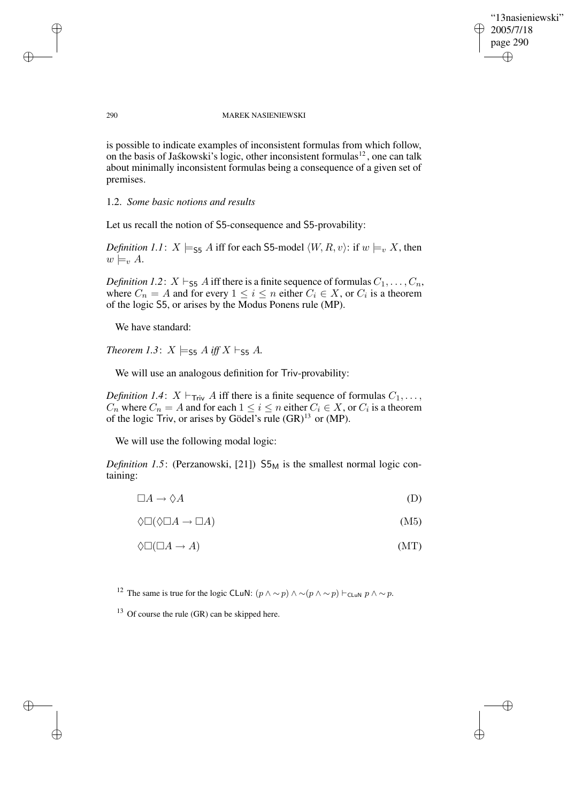✐

#### 290 MAREK NASIENIEWSKI

is possible to indicate examples of inconsistent formulas from which follow, on the basis of Jaskowski's logic, other inconsistent formulas<sup>12</sup>, one can talk about minimally inconsistent formulas being a consequence of a given set of premises.

### 1.2. *Some basic notions and results*

Let us recall the notion of S5-consequence and S5-provability:

*Definition 1.1*:  $X \models_{\mathsf{SS}} A$  iff for each S5-model  $\langle W, R, v \rangle$ : if  $w \models_v X$ , then  $w \models_{v} A$ .

*Definition 1.2*:  $X \vdash_{\mathsf{S5}} A$  iff there is a finite sequence of formulas  $C_1, \ldots, C_n$ , where  $C_n = A$  and for every  $1 \leq i \leq n$  either  $C_i \in X$ , or  $C_i$  is a theorem of the logic S5, or arises by the Modus Ponens rule (MP).

We have standard:

*Theorem 1.3*:  $X \models_{\mathsf{S5}} A$  *iff*  $X \models_{\mathsf{S5}} A$ *.* 

We will use an analogous definition for Triv-provability:

*Definition 1.4*:  $X \vdash_{\text{Triv}} A$  iff there is a finite sequence of formulas  $C_1, \ldots,$  $C_n$  where  $C_n = A$  and for each  $1 \leq i \leq n$  either  $C_i \in X$ , or  $C_i$  is a theorem of the logic Triv, or arises by Gödel's rule (GR)<sup>13</sup> or (MP).

We will use the following modal logic:

*Definition* 1.5: (Perzanowski, [21])  $55<sub>M</sub>$  is the smallest normal logic containing:

$$
\Box A \to \Diamond A \tag{D}
$$

 $\Diamond \Box (\Diamond \Box A \rightarrow \Box A)$  (M5)

$$
\Diamond \Box (\Box A \to A) \tag{MT}
$$

<sup>12</sup> The same is true for the logic CLuN:  $(p \wedge \sim p) \wedge \sim (p \wedge \sim p) \vdash_{\text{CLuN}} p \wedge \sim p$ .

 $13$  Of course the rule (GR) can be skipped here.

✐

✐

✐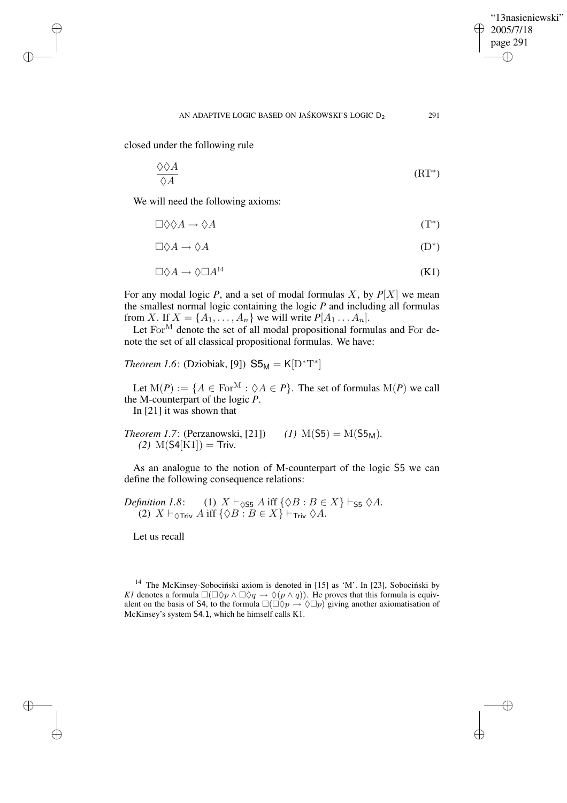✐

closed under the following rule

✐

✐

✐

✐

$$
\frac{\Diamond \Diamond A}{\Diamond A} \tag{RT*}
$$

We will need the following axioms:

$$
\Box \Diamond \Diamond A \to \Diamond A \tag{T}^*
$$

$$
\Box \Diamond A \to \Diamond A \tag{D}^*
$$

$$
\Box \Diamond A \to \Diamond \Box A^{14} \tag{K1}
$$

For any modal logic  $P$ , and a set of modal formulas  $X$ , by  $P[X]$  we mean the smallest normal logic containing the logic *P* and including all formulas from X. If  $X = \{A_1, \ldots, A_n\}$  we will write  $P[A_1 \ldots A_n]$ .

Let  $For^M$  denote the set of all modal propositional formulas and For denote the set of all classical propositional formulas. We have:

*Theorem 1.6*: (Dziobiak, [9])  $S5_M = K[D^*T^*]$ 

Let  $M(P) := \{ A \in \text{For}^M : \Diamond A \in P \}.$  The set of formulas  $M(P)$  we call the M-counterpart of the logic *P*.

In [21] it was shown that

*Theorem 1.7*: (Perzanowski, [21]) *(1)* M(S5) = M(S5<sub>M</sub>). *(2)*  $M(S4[K1]) =$  Triv.

As an analogue to the notion of M-counterpart of the logic S5 we can define the following consequence relations:

*Definition 1.8*: (1) 
$$
X \vdash_{\Diamond S5} A
$$
 iff  $\{\Diamond B : B \in X\} \vdash_{\mathsf{S5}} \Diamond A$ .  
(2)  $X \vdash_{\Diamond \mathsf{Triv}} A$  iff  $\{\Diamond B : B \in X\} \vdash_{\mathsf{Triv}} \Diamond A$ .

Let us recall

 $14$  The McKinsey-Sobociński axiom is denoted in [15] as 'M'. In [23], Sobociński by *K1* denotes a formula  $\square(\square \lozenge p \wedge \square \lozenge q \rightarrow \lozenge (p \wedge q))$ . He proves that this formula is equivalent on the basis of S4, to the formula  $\Box(\Box \Diamond p \rightarrow \Diamond \Box p)$  giving another axiomatisation of McKinsey's system S4.1, which he himself calls K1.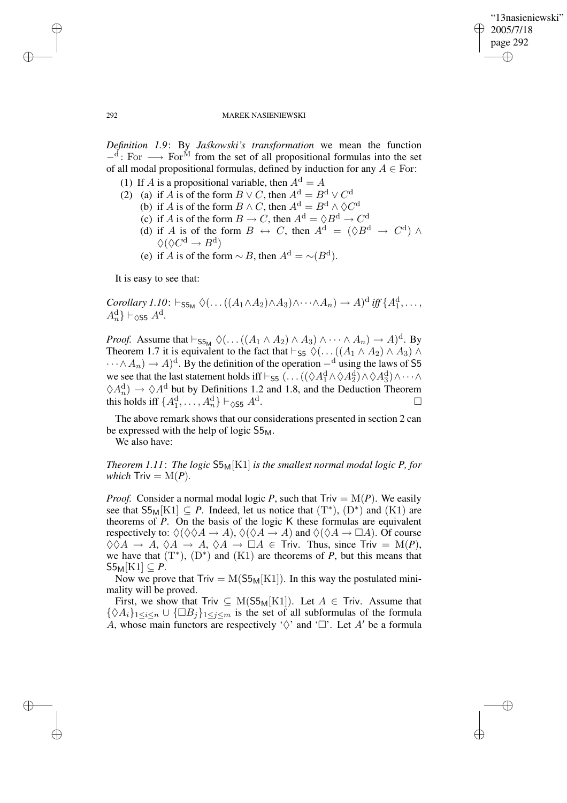✐

### 292 MAREK NASIENIEWSKI

*Definition* 1.9: By *Jaskowski's transformation* we mean the function  $-$ <sup>d</sup>: For  $\longrightarrow$  For<sup>M</sup> from the set of all propositional formulas into the set of all modal propositional formulas, defined by induction for any  $A \in$  For:

- (1) If A is a propositional variable, then  $A^d = A$
- (2) (a) if A is of the form  $B \vee C$ , then  $A^d = B^d \vee C^d$ 
	- (b) if A is of the form  $B \wedge C$ , then  $A^d = B^d \wedge \lozenge C^d$
	- (c) if A is of the form  $B \to C$ , then  $A^d = \Diamond B^d \to C^d$
	- (d) if A is of the form  $B \leftrightarrow C$ , then  $A^d = (\Diamond B^d \rightarrow C^d) \land$  $\Diamond (\Diamond C^{\mathrm{d}} \to B^{\mathrm{d}})$
	- (e) if A is of the form  $\sim$  B, then  $A^d = \sim (B^d)$ .

It is easy to see that:

*Corollary 1.10*:  $\vdash_{\mathsf{S5}_\mathsf{M}} \Diamond (\dots ((A_1 \land A_2) \land A_3) \land \dots \land A_n) \to A)^d$  *iff* { $A_1^d$ , ...,  $A_n^{\mathrm{d}}$   $\vdash$   $\Diamond$ s5  $A^{\mathrm{d}}$ .

*Proof.* Assume that  $\vdash_{\mathsf{S5}_M} \Diamond (\dots ((A_1 \land A_2) \land A_3) \land \dots \land A_n) \to A)^d$ . By Theorem 1.7 it is equivalent to the fact that  $\vdash_{\mathsf{S5}} \Diamond (\dots ((A_1 \land A_2) \land A_3) \land \dots)$  $\cdots \wedge A_n) \to A$ <sup>d</sup>. By the definition of the operation  $-$ <sup>d</sup> using the laws of S5 we see that the last statement holds iff  $\vdash_{55} (\ldots ((\Diamond A_1^d \land \Diamond A_2^d) \land \Diamond A_3^d) \land \cdots \land$  $\Diamond A_n^d$   $\to \Diamond A^d$  but by Definitions 1.2 and 1.8, and the Deduction Theorem this holds iff  $\{A_1^{\rm d},\ldots,A_n^{\rm d}\} \vdash_{\Diamond$ S5  $A^{\rm d}$ . — Первый процесс в серверності процесс в серверності процесс в серверності процесс в серверності процесс в с<br>Первої в серверності процесс в серверності процесс в серверності процесс в серверності процесс в серверності

The above remark shows that our considerations presented in section 2 can be expressed with the help of logic  $S5<sub>M</sub>$ .

We also have:

*Theorem* 1.11: *The logic*  $S5<sub>M</sub>[K1]$  *is the smallest normal modal logic P, for which*  $Triv = M(P)$ .

*Proof.* Consider a normal modal logic *P*, such that  $Triv = M(P)$ . We easily see that  $S5_M[K1] \subseteq P$ . Indeed, let us notice that  $(T^*)$ ,  $(D^*)$  and  $(K1)$  are theorems of *P*. On the basis of the logic K these formulas are equivalent respectively to:  $\Diamond(\Diamond \Diamond A \to A), \Diamond(\Diamond A \to A)$  and  $\Diamond(\Diamond A \to \Box A)$ . Of course  $\Diamond \Diamond A \rightarrow A, \Diamond A \rightarrow A, \Diamond A \rightarrow \Box A \in$  Triv. Thus, since Triv = M(P), we have that  $(T^*)$ ,  $(D^*)$  and  $(K1)$  are theorems of *P*, but this means that  $S5_M[K1] \subseteq P$ .

Now we prove that  $Triv = M(S5<sub>M</sub>[K1])$ . In this way the postulated minimality will be proved.

First, we show that Triv  $\subseteq M(S5_M[K1])$ . Let  $A \in Triv$ . Assume that  $\{\Diamond A_i\}_{1\leq i\leq n}\cup {\Box B_j\}_{1\leq j\leq m}$  is the set of all subformulas of the formula A, whose main functors are respectively ' $\diamondsuit$ ' and ' $\square$ '. Let A' be a formula

✐

✐

✐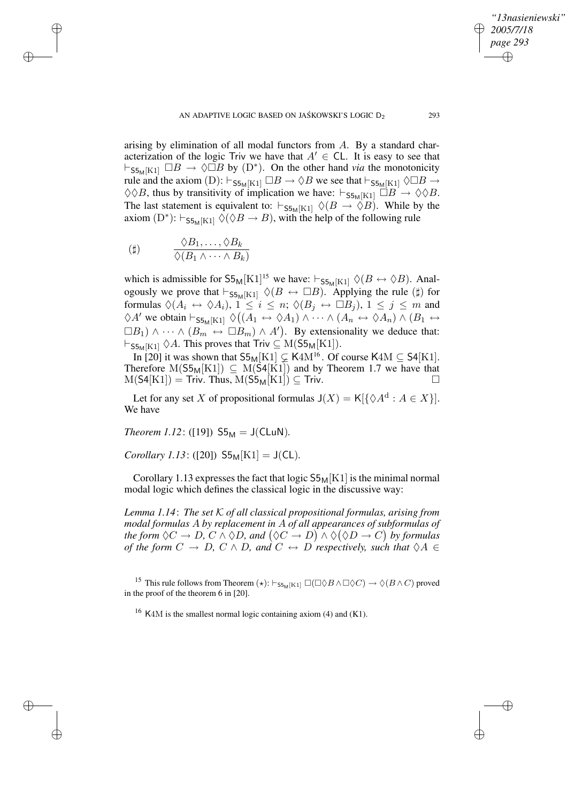arising by elimination of all modal functors from  $A$ . By a standard characterization of the logic Triv we have that  $A' \in CL$ . It is easy to see that  $\vdash_{S5M[K1]} \Box B \to \Diamond \Box B$  by  $(D^*)$ . On the other hand *via* the monotonicity rule and the axiom (D):  $\vdash_{S5_M[K1]} \Box B \to \Diamond B$  we see that  $\vdash_{S5_M[K1]} \Diamond \Box B \to$  $\Diamond \Diamond B$ , thus by transitivity of implication we have:  $\vdash_{\mathsf{S5}_M[K1]} \Box B \rightarrow \Diamond \Diamond B$ . The last statement is equivalent to:  $\vdash_{\mathsf{S5}_M[K1]} \Diamond (B \to \Diamond B)$ . While by the axiom  $(D^*)$ :  $\vdash_{\mathsf{S5}_M[K1]} \Diamond (\Diamond B \to B)$ , with the help of the following rule

$$
\begin{array}{ccc}\n\text{(}\sharp) & \frac{\Diamond B_1, \dots, \Diamond B_k}{\Diamond (B_1 \land \dots \land B_k)}\n\end{array}
$$

✐

✐

✐

✐

which is admissible for  $55M[K1]^{15}$  we have:  $\vdash_{55M[K1]} \Diamond (B \leftrightarrow \Diamond B)$ . Analogously we prove that  $\vdash_{S5M[K1]} \Diamond (B \leftrightarrow \Box B)$ . Applying the rule (#) for formulas  $\Diamond (A_i \leftrightarrow \Diamond A_i), 1 \leq i \leq n; \Diamond (B_j \leftrightarrow \Box B_j), 1 \leq j \leq m$  and  $\Diamond A'$  we obtain  $\vdash_{\mathsf{S5}_M[K1]} \Diamond ((A_1 \leftrightarrow \Diamond A_1) \land \cdots \land (A_n \leftrightarrow \Diamond A_n) \land (B_1 \leftrightarrow \Diamond A_n))$  $\Box B_1$ )  $\wedge \cdots \wedge (B_m \leftrightarrow \Box B_m) \wedge A'$ . By extensionality we deduce that:  $\vdash_{\mathsf{S5M}[K1]} \Diamond A$ . This proves that Triv  $\subseteq M(\mathsf{S5M}[K1]).$ 

In [20] it was shown that  $S5_M[K1] \subsetneq K4M^{16}$ . Of course  $K4M \subseteq S4[K1]$ . Therefore  $M(S5_M[K1]) \subseteq M(S4[K1])$  and by Theorem 1.7 we have that  $M(S4[K1]) =$  Triv. Thus,  $M(S5_M[K1]) \subseteq$  Triv.

Let for any set X of propositional formulas  $J(X) = K[\{\Diamond A^d : A \in X\}].$ We have

*Theorem* 1.12: ([19])  $S5_M = J(CLuN)$ .

*Corollary 1.13*: ([20])  $55<sub>M</sub>[K1] = J(CL)$ *.* 

Corollary 1.13 expresses the fact that logic  $55<sub>M</sub>[K1]$  is the minimal normal modal logic which defines the classical logic in the discussive way:

*Lemma 1.14*: *The set* K *of all classical propositional formulas, arising from modal formulas* A *by replacement in* A *of all appearances of subformulas of* the form  $\Diamond C \to D$ ,  $C \land \Diamond D$ , and  $(\Diamond C \to D) \land \Diamond (\Diamond D \to C)$  by formulas *of the form*  $C \rightarrow D$ ,  $C \wedge D$ , and  $C \leftrightarrow D$  *respectively, such that*  $\Diamond A \in$ 

<sup>15</sup> This rule follows from Theorem  $(\star)$ :  $\vdash_{\mathsf{S5}_M[K1]} \Box(\Box \Diamond B \land \Box \Diamond C) \rightarrow \Diamond (B \land C)$  proved in the proof of the theorem 6 in [20].

<sup>16</sup> K4M is the smallest normal logic containing axiom (4) and (K1).

*"13nasieniewski"*

*2005/7/18 page 293*

✐

✐

✐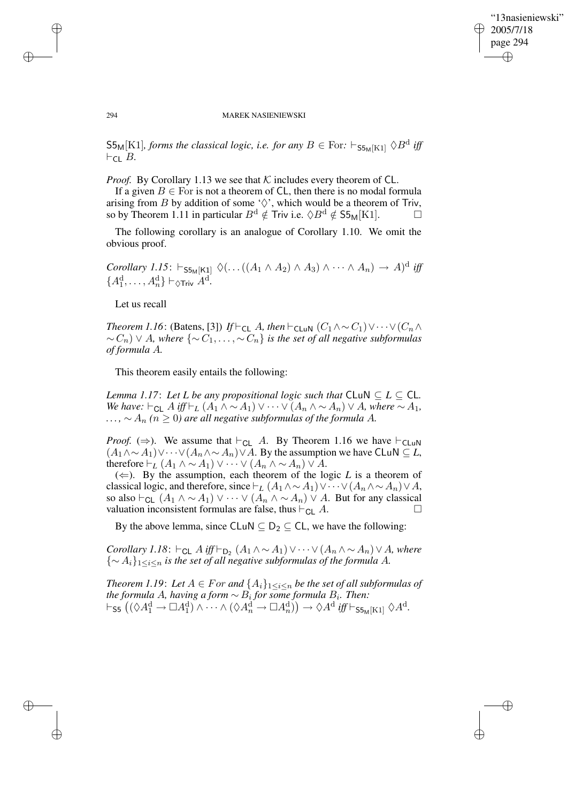✐

#### 294 MAREK NASIENIEWSKI

 $\mathsf{S5}_\mathsf{M}[\text{K1}]$ , *forms the classical logic, i.e. for any*  $B \in \text{For: } \vdash_{\mathsf{S5}_\mathsf{M}[\text{K1}]}\Diamond B^\text{d}$  *iff*  $\vdash_{\mathsf{CL}} B$ .

*Proof.* By Corollary 1.13 we see that  $K$  includes every theorem of CL.

If a given  $B \in$  For is not a theorem of CL, then there is no modal formula arising from B by addition of some ' $\Diamond$ ', which would be a theorem of Triv, so by Theorem 1.11 in particular  $B^d \notin$  Triv i.e.  $\Diamond B^d \notin$  S5<sub>M</sub>[K1].  $\Box$ 

The following corollary is an analogue of Corollary 1.10. We omit the obvious proof.

*Corollary* 1.15:  $\vdash_{\mathsf{S5M[K1]}} \Diamond (\dots ((A_1 \land A_2) \land A_3) \land \dots \land A_n) \to A)^d$  iff  ${A_1^d, \ldots, A_n^d} \vdash_{\Diamond \mathsf{Triv}} A^d.$ 

Let us recall

*Theorem 1.16*: (Batens, [3]) *If*  $\vdash$ <sub>CL</sub> A, *then*  $\vdash$ <sub>CLuN</sub>  $(C_1 \land \sim C_1) \lor \cdots \lor (C_n \land C_n)$ ∼ Cn) ∨ A*, where* {∼ C1, . . . , ∼ Cn} *is the set of all negative subformulas of formula* A*.*

This theorem easily entails the following:

*Lemma* 1.17: Let *L* be any propositional logic such that  $CLM \subseteq L \subseteq CL$ . *We have:*  $\vdash_{\mathsf{CL}} A$  *iff*  $\vdash_L (A_1 \land \sim A_1) \lor \cdots \lor (A_n \land \sim A_n) \lor A$ *, where*  $\sim A_1$ *,*  $A_n$   $(n \geq 0)$  *are all negative subformulas of the formula A.* 

*Proof.* ( $\Rightarrow$ ). We assume that  $\vdash_{CL} A$ . By Theorem 1.16 we have  $\vdash_{CLuN}$  $(A_1 \wedge \sim A_1) \vee \cdots \vee (A_n \wedge \sim A_n) \vee A$ . By the assumption we have CLuN ⊆ *L*, therefore  $\vdash_L (A_1 \land \sim A_1) \lor \cdots \lor (A_n \land \sim A_n) \lor A$ .

 $(\Leftarrow)$ . By the assumption, each theorem of the logic *L* is a theorem of classical logic, and therefore, since  $\vdash_L (A_1 \wedge \sim A_1) \vee \cdots \vee (A_n \wedge \sim A_n) \vee A$ , so also  $\vdash_{\mathsf{CL}} (A_1 \land \sim A_1) \lor \cdots \lor (A_n \land \sim A_n) \lor A$ . But for any classical valuation inconsistent formulas are false, thus  $\vdash_{\mathsf{CL}} A$ . valuation inconsistent formulas are false, thus  $\vdash_{\mathsf{CL}} A$ .

By the above lemma, since CLuN  $\subseteq D_2 \subseteq CL$ , we have the following:

*Corollary* 1.18:  $\vdash$ <sub>CL</sub> A iff $\vdash$ <sub>D<sub>2</sub></sub>  $(A_1 \wedge \sim A_1) \vee \cdots \vee (A_n \wedge \sim A_n) \vee A$ *, where* {∼ Ai}1≤i≤<sup>n</sup> *is the set of all negative subformulas of the formula* A*.*

*Theorem 1.19: Let*  $A \in For$  *and*  $\{A_i\}_{1 \leq i \leq n}$  *be the set of all subformulas of*  $the$  *formula*  $A$ *, having a form*  $\sim$   $B_i$  *for some formula*  $B_i$ *. Then:*  $\vdash$ <sub>S5</sub>  $((\Diamond A_1^d \rightarrow \Box A_1^d) \land \cdots \land (\Diamond A_n^d \rightarrow \Box A_n^d)) \rightarrow \Diamond A^d$  *iff*  $\vdash$ <sub>S5M[K1]</sub>  $\Diamond A^d$ .

✐

✐

✐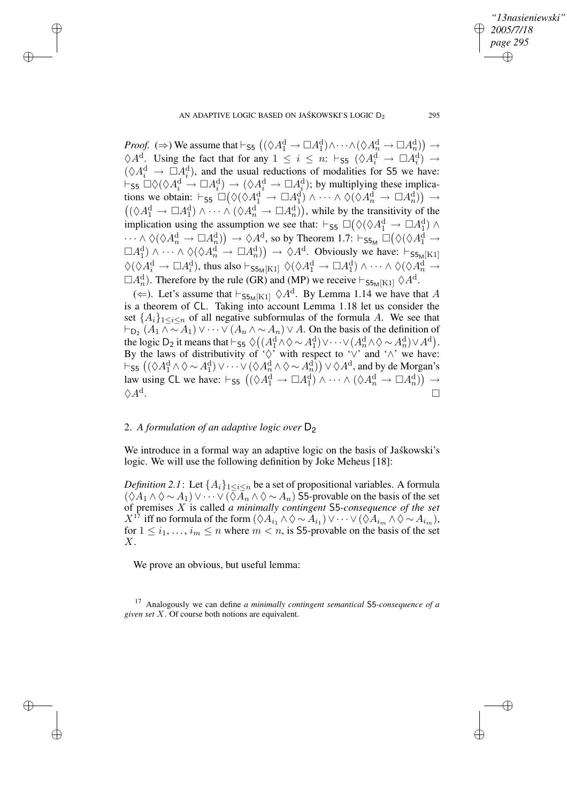AN ADAPTIVE LOGIC BASED ON JAŚKOWSKI'S LOGIC  $D_2$  295

✐

✐

✐

✐

*Proof.* ( $\Rightarrow$ ) We assume that  $\vdash$  55  $((\Diamond A_1^d \to \Box A_1^d) \land \cdots \land (\Diamond A_n^d \to \Box A_n^d)) \to$  $\Diamond A^{\mathrm{d}}$ . Using the fact that for any  $1 \leq i \leq n$ :  $\vdash$   $\varsigma$ <sub>5</sub>  $(\Diamond A^{\mathrm{d}}_i \to \Box A^{\mathrm{d}}_i) \to$  $(\Diamond A_i^d \rightarrow \Box A_i^d)$ , and the usual reductions of modalities for S5 we have:  $\forall A_i \rightarrow \Box A_i$ , and the usual reductions of modalities for 55 we have.<br>  $\vdash_{\mathsf{S5}} \Box \Diamond (\Diamond A_i^d \to \Box A_i^d) \to (\Diamond A_i^d \to \Box A_i^d)$ ; by multiplying these implications we obtain:  $\vdash_{\mathsf{S5}} \Box \big( \Diamond (\Diamond A_1^d \to \Box A_1^d) \land \cdots \land \Diamond (\Diamond A_n^d \to \Box A_n^d) \big) \to$  $((\Diamond A_1^d \to \Box A_1^d) \land \cdots \land (\Diamond A_n^d \to \Box A_n^d)),$  while by the transitivity of the implication using the assumption we see that:  $\vdash$ <sub>55</sub>  $\Box(\Diamond (\Diamond A_1^d \rightarrow \Box A_1^d) \land$  $\cdots\wedge\Diamond(\Diamond A_n^{\rm d}\to \Box A_n^{\rm d})) \to \Diamond A^{\rm d}, \text{ so by Theorem 1.7: } \vdash_{\mathsf{S5}_\mathsf{M}} \Box \big( \Diamond (\Diamond A_1^{\rm d} \to \Box A_n^{\rm d})) \to \Diamond A_n^{\rm d}.$  $\Box A_1^d$ )  $\wedge \cdots \wedge \Diamond (\Diamond A_n^d \to \Box A_n^d) \rightarrow \Diamond A^d$ . Obviously we have:  $\vdash_{\mathsf{S5}_M[K1]}$  $\Diamond(\Diamond A_i^{\rm d} \to \Box A_i^{\rm d})$ , thus also  $\vdash_{\mathsf{S5}_M[\mathrm{K1}]}\Diamond(\Diamond A_1^{\rm d} \to \Box A_1^{\rm d}) \land \cdots \land \Diamond(\Diamond A_n^{\rm d} \to$  $\Box A_n^d$ ). Therefore by the rule (GR) and (MP) we receive  $\vdash_{\mathsf{S5}_M[K1]} \Diamond A^d$ .

( $\Leftarrow$ ). Let's assume that  $\vdash_{\mathsf{S5}_M[K1]} \Diamond A^d$ . By Lemma 1.14 we have that A is a theorem of CL. Taking into account Lemma 1.18 let us consider the set  $\{A_i\}_{1\leq i\leq n}$  of all negative subformulas of the formula A. We see that  $\vdash_{\mathsf{D}_2}(A_1 \wedge \sim A_1) \vee \cdots \vee (A_n \wedge \sim A_n) \vee A$ . On the basis of the definition of the logic D<sub>2</sub> it means that  $\vdash$  55  $\Diamond ((A_1^d \land \Diamond \sim A_1^d) \lor \dots \lor (A_n^d \land \Diamond \sim A_n^d) \lor A^d)$ . By the laws of distributivity of ' $\Diamond'$ ' with respect to ' $\lor'$  and ' $\land'$ ' we have:  $\vdash$  55  $\left( (\Diamond A_1^d \land \Diamond \sim A_1^d) \lor \cdots \lor (\Diamond A_n^d \land \Diamond \sim A_n^d) \right) \lor \Diamond A^d$ , and by de Morgan's law using CL we have:  $\vdash_{\mathsf{S5}} ((\Diamond A_1^d \to \Box A_1^d) \land \cdots \land (\Diamond A_n^d \to \Box A_n^d)) \to$  $\Diamond A^{\mathrm{d}}.$ . В последните поставите на селото на селото на селото на селото на селото на селото на селото на селото на се<br>Селото на селото на селото на селото на селото на селото на селото на селото на селото на селото на селото на

### 2. *A formulation of an adaptive logic over* D<sup>2</sup>

We introduce in a formal way an adaptive logic on the basis of Jaskowski's logic. We will use the following definition by Joke Meheus [18]:

*Definition* 2.1: Let  $\{A_i\}_{1 \leq i \leq n}$  be a set of propositional variables. A formula  $(\Diamond A_1 \land \Diamond \sim A_1) \lor \cdots \lor (\Diamond A_n \land \Diamond \sim A_n)$  S5-provable on the basis of the set of premises X is called *a minimally contingent* S5*-consequence of the set*  $X^{17}$  iff no formula of the form  $(\Diamond A_{i_1} \land \Diamond \sim A_{i_1}) \lor \cdots \lor (\Diamond A_{i_m} \land \Diamond \sim A_{i_m}),$ for  $1 \leq i_1, \ldots, i_m \leq n$  where  $m < n$ , is S5-provable on the basis of the set  $X<sub>l</sub>$ 

We prove an obvious, but useful lemma:

*"13nasieniewski"*

*2005/7/18 page 295*

✐

✐

✐

<sup>17</sup> Analogously we can define *a minimally contingent semantical* S5*-consequence of a given set* X. Of course both notions are equivalent.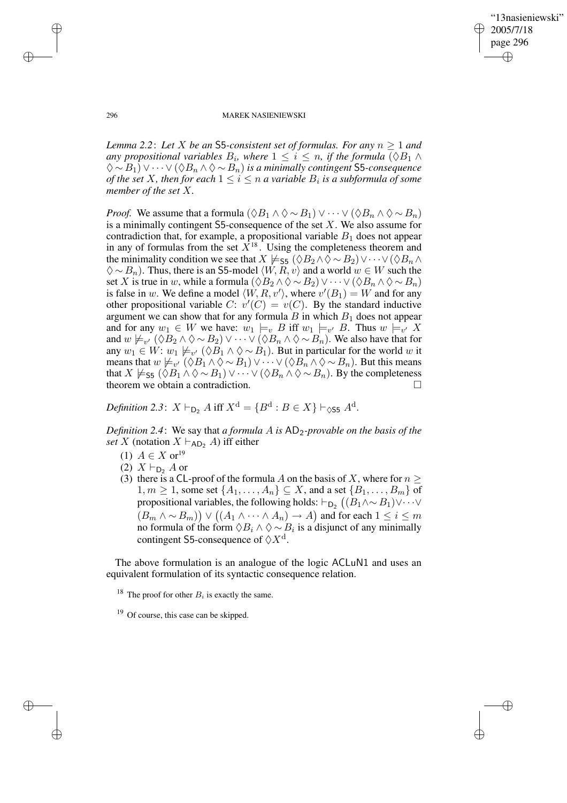✐

#### 296 MAREK NASIENIEWSKI

*Lemma 2.2*: *Let* X *be an* S5*-consistent set of formulas. For any* n ≥ 1 *and any* propositional variables  $B_i$ , where  $1 \leq i \leq n$ , if the formula  $(\Diamond B_1 \land \Diamond B_2)$ ♦ ∼ B1) ∨ · · · ∨ (♦B<sup>n</sup> ∧ ♦ ∼ Bn) *is a minimally contingent* S5*-consequence of the set*  $X$ *, then for each*  $1 \leq i \leq n$  *a variable*  $B_i$  *is a subformula of some member of the set* X*.*

*Proof.* We assume that a formula  $(\Diamond B_1 \land \Diamond \sim B_1) \lor \cdots \lor (\Diamond B_n \land \Diamond \sim B_n)$ is a minimally contingent S5-consequence of the set  $X$ . We also assume for contradiction that, for example, a propositional variable  $B_1$  does not appear in any of formulas from the set  $X^{18}$ . Using the completeness theorem and the minimality condition we see that  $X \not\models_{\mathsf{S5}} (\lozenge B_2 \wedge \lozenge \sim B_2) \vee \cdots \vee (\lozenge B_n \wedge \lozenge \mathsf{S5})$  $\diamondsuit \sim B_n$ ). Thus, there is an S5-model  $\langle W, R, v \rangle$  and a world  $w \in W$  such the set X is true in w, while a formula  $(\Diamond B_2 \land \Diamond \sim B_2) \lor \cdots \lor (\Diamond B_n \land \Diamond \sim B_n)$ is false in w. We define a model  $\langle W, R, v' \rangle$ , where  $v'(B_1) = W$  and for any other propositional variable C:  $v'(C) = v(C)$ . By the standard inductive argument we can show that for any formula  $B$  in which  $B_1$  does not appear and for any  $w_1 \in W$  we have:  $w_1 \models_v B$  iff  $w_1 \models_{v'} B$ . Thus  $w \models_{v'} X$ and  $w \not\models_{v'} (\lozenge B_2 \wedge \lozenge \sim B_2) \vee \cdots \vee (\lozenge B_n \wedge \lozenge \sim B_n)$ . We also have that for any  $w_1 \in W$ :  $w_1 \not\models_{v'} (\Diamond B_1 \land \Diamond \sim B_1)$ . But in particular for the world w it means that  $w \not\models_{v'} (\Diamond B_1 \land \Diamond \sim B_1) \lor \cdots \lor (\Diamond B_n \land \Diamond \sim B_n)$ . But this means that  $X \not\models_{\mathsf{S}5} (\Diamond B_1 \land \Diamond \sim B_1) \lor \cdots \lor (\Diamond B_n \land \Diamond \sim B_n)$ . By the completeness theorem we obtain a contradiction.

*Definition* 2.3:  $X \vdash_{\mathsf{D}_2} A$  iff  $X^{\mathrm{d}} = \{B^{\mathrm{d}} : B \in X\} \vdash_{\Diamond \mathsf{S5}} A^{\mathrm{d}}.$ 

*Definition 2.4*: We say that *a formula* A *is* AD2*-provable on the basis of the set* X (notation  $X \vdash_{AD_2} A$ ) iff either

- (1)  $A \in X$  or<sup>19</sup>
- (2)  $X \vdash_{\mathsf{D}_2} A$  or
- (3) there is a CL-proof of the formula A on the basis of X, where for  $n \geq$  $1, m \geq 1$ , some set  $\{A_1, \ldots, A_n\} \subseteq X$ , and a set  $\{B_1, \ldots, B_m\}$  of propositional variables, the following holds:  $\vdash_{\mathsf{D}_2} \big((B_1 \wedge \sim B_1) \vee \cdots \vee$  $(B_m \wedge \sim B_m)) \vee ((A_1 \wedge \cdots \wedge A_n) \to A)$  and for each  $1 \leq i \leq m$ no formula of the form  $\Diamond B_i \land \Diamond \sim B_i$  is a disjunct of any minimally contingent S5-consequence of  $\Diamond X^d$ .

The above formulation is an analogue of the logic ACLuN1 and uses an equivalent formulation of its syntactic consequence relation.

<sup>18</sup> The proof for other  $B_i$  is exactly the same.

<sup>19</sup> Of course, this case can be skipped.

✐

✐

✐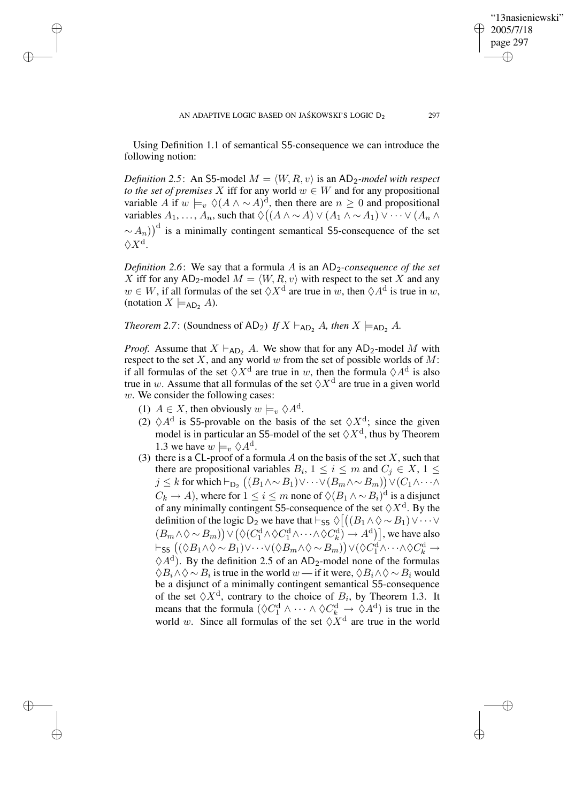Using Definition 1.1 of semantical S5-consequence we can introduce the following notion:

*Definition* 2.5: An S5-model  $M = \langle W, R, v \rangle$  is an AD<sub>2</sub>-model with respect *to the set of premises* X iff for any world  $w \in W$  and for any propositional variable A if  $w \models_v \Diamond (A \land \sim A)^d$ , then there are  $n \geq 0$  and propositional variables  $A_1, \ldots, A_n$ , such that  $\Diamond ((A \land \sim A) \lor (A_1 \land \sim A_1) \lor \cdots \lor (A_n \land$  $(\sim A_n)$ <sup>d</sup> is a minimally contingent semantical S5-consequence of the set  $\Diamond X^{\mathrm{d}}.$ 

*Definition* 2.6: We say that a formula A is an  $AD_2$ -consequence of the set X iff for any AD<sub>2</sub>-model  $M = \langle W, R, v \rangle$  with respect to the set X and any  $w \in W$ , if all formulas of the set  $\Diamond X^d$  are true in w, then  $\Diamond A^d$  is true in w, (notation  $X \models_{AD_2} A$ ).

*Theorem* 2.7: (Soundness of AD<sub>2</sub>) *If*  $X \vdash_{AD} A$ *, then*  $X \models_{AD} A$ *.* 

*Proof.* Assume that  $X \vdash_{AD_2} A$ . We show that for any AD<sub>2</sub>-model M with respect to the set X, and any world w from the set of possible worlds of M: if all formulas of the set  $\Diamond X^d$  are true in w, then the formula  $\Diamond A^d$  is also true in w. Assume that all formulas of the set  $\Diamond X^d$  are true in a given world w. We consider the following cases:

(1)  $A \in X$ , then obviously  $w \models_v \Diamond A^d$ .

✐

✐

✐

✐

- (2)  $\Diamond A^d$  is S5-provable on the basis of the set  $\Diamond X^d$ ; since the given model is in particular an S5-model of the set  $\Diamond X^d$ , thus by Theorem 1.3 we have  $w \models_v \Diamond A^d$ .
- (3) there is a CL-proof of a formula A on the basis of the set  $X$ , such that there are propositional variables  $B_i$ ,  $1 \le i \le m$  and  $C_j \in X$ ,  $1 \le j$  $j \leq k$  for which  $\vdash_{\mathsf{D}_2} \big((B_1 \wedge \sim B_1) \vee \cdots \vee (B_m \wedge \sim B_m)\big) \vee (C_1 \wedge \cdots \wedge C_m)$  $C_k \to A$ ), where for  $1 \leq i \leq m$  none of  $\Diamond (B_1 \land \sim B_i)^d$  is a disjunct of any minimally contingent S5-consequence of the set  $\Diamond X^d$ . By the definition of the logic D<sub>2</sub> we have that  $\vdash$  55  $\Diamond$   $((B_1 \land \Diamond \sim B_1) \lor \dots \lor$  $(B_m \wedge \Diamond \sim B_m)$   $\lor (\Diamond (C_1^d \wedge \Diamond C_1^d \wedge \cdots \wedge \Diamond C_k^d) \rightarrow A^d)$ , we have also  $\vdash$ <sub>S5</sub>  $((\Diamond B_1 \land \Diamond \sim B_1) \lor \cdots \lor (\Diamond B_m \land \Diamond \sim B_m)) \lor (\Diamond C_1^d \land \cdots \land \Diamond C_k^d \rightarrow$  $\Diamond A^d$ ). By the definition 2.5 of an AD<sub>2</sub>-model none of the formulas  $\Diamond B_i \land \Diamond \sim B_i$  is true in the world  $w$  — if it were,  $\Diamond B_i \land \Diamond \sim B_i$  would be a disjunct of a minimally contingent semantical S5-consequence of the set  $\Diamond X^d$ , contrary to the choice of  $B_i$ , by Theorem 1.3. It means that the formula  $(\lozenge C_1^d \wedge \cdots \wedge \lozenge C_k^d \rightarrow \lozenge A^d)$  is true in the world w. Since all formulas of the set  $\Diamond X^d$  are true in the world

"13nasieniewski"

2005/7/18 page 297

✐

✐

✐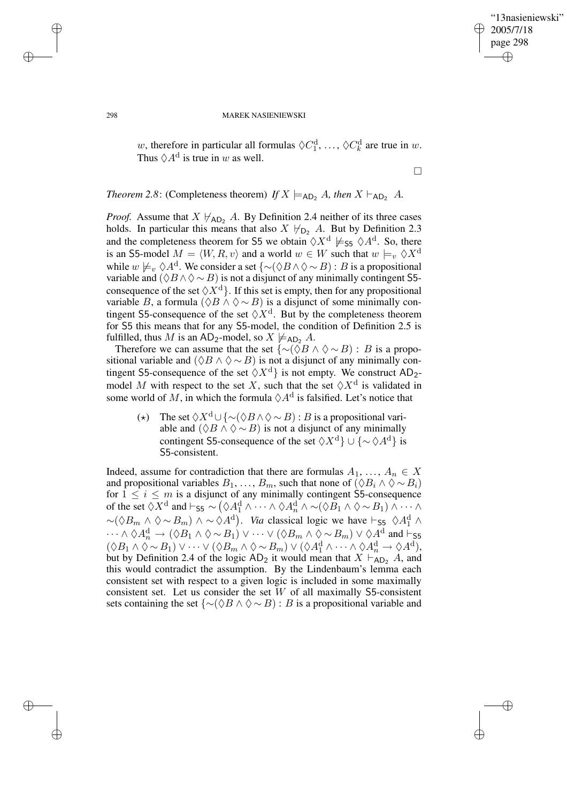✐

### 298 MAREK NASIENIEWSKI

w, therefore in particular all formulas  $\Diamond C_1^d, \dots, \Diamond C_k^d$  are true in w. Thus  $\Diamond A^{\mathrm{d}}$  is true in w as well.

 $\Box$ 

*Theorem* 2.8: (Completeness theorem) *If*  $X \models_{AD_2} A$ *, then*  $X \models_{AD_2} A$ .

*Proof.* Assume that  $X \nvdash_{AD_2} A$ . By Definition 2.4 neither of its three cases holds. In particular this means that also  $X \nvDash_{D_2} A$ . But by Definition 2.3 and the completeness theorem for S5 we obtain  $\Diamond X^{\mathrm{d}} \not\models_{\mathsf{S}5} \Diamond A^{\mathrm{d}}$ . So, there is an S5-model  $M = \langle W, R, v \rangle$  and a world  $w \in W$  such that  $w \models_v \Diamond X^d$ while  $w \not\models_v \Diamond A^d$ . We consider a set  $\{\sim(\Diamond B \land \Diamond \sim B) : B$  is a propositional variable and  $($  $\Diamond B \land \Diamond \sim B)$  is not a disjunct of any minimally contingent S5consequence of the set  $\langle X^d \rangle$ . If this set is empty, then for any propositional variable B, a formula  $(\Diamond B \land \Diamond \sim B)$  is a disjunct of some minimally contingent S5-consequence of the set  $\Diamond X^d$ . But by the completeness theorem for S5 this means that for any S5-model, the condition of Definition 2.5 is fulfilled, thus M is an AD<sub>2</sub>-model, so  $X \not\models_{AD_2} A$ .

Therefore we can assume that the set  $\{\sim(\Diamond B \land \Diamond \sim B) : B$  is a propositional variable and  $(\Diamond B \land \Diamond \sim B)$  is not a disjunct of any minimally contingent S5-consequence of the set  $\langle \rangle X^d$  is not empty. We construct AD<sub>2</sub>model M with respect to the set X, such that the set  $\Diamond X^d$  is validated in some world of M, in which the formula  $\Diamond A^d$  is falsified. Let's notice that

(\*) The set  $\Diamond X^d \cup {\Diamond B \land \Diamond \sim B}$ : B is a propositional variable and  $(\Diamond B \land \Diamond \sim B)$  is not a disjunct of any minimally contingent S5-consequence of the set  $\langle X^d \rangle \cup \{ \sim \langle A^d \rangle \}$  is S5-consistent.

Indeed, assume for contradiction that there are formulas  $A_1, \ldots, A_n \in X$ and propositional variables  $B_1, \ldots, B_m$ , such that none of  $(\Diamond B_i \land \Diamond \sim B_i)$ for  $1 \leq i \leq m$  is a disjunct of any minimally contingent S5-consequence of the set  $\Diamond X^{\mathrm{d}}$  and  $\vdash$  55  $\sim (\Diamond A_1^{\mathrm{d}} \land \cdots \land \Diamond A_n^{\mathrm{d}} \land \sim (\Diamond B_1 \land \Diamond \sim B_1) \land \cdots \land$  $\sim (\Diamond B_m \land \Diamond \sim B_m) \land \sim \Diamond A^d)$ . *Via* classical logic we have  $\vdash_{\mathsf{S5}} \Diamond A_1^d \land \Box$  $\cdots \wedge \Diamond A_n^d \to (\Diamond B_1 \wedge \Diamond \sim B_1) \vee \cdots \vee (\Diamond B_m \wedge \Diamond \sim B_m) \vee \Diamond A^d$  and  $\vdash_{\mathsf{S5}}$  $(\Diamond B_1 \land \Diamond \sim B_1) \lor \cdots \lor (\Diamond B_m \land \Diamond \sim B_m) \lor (\Diamond A_1^d \land \cdots \land \Diamond A_n^d \rightarrow \Diamond A^d),$ but by Definition 2.4 of the logic  $AD_2$  it would mean that  $X \vdash_{AD_2}^n A$ , and this would contradict the assumption. By the Lindenbaum's lemma each consistent set with respect to a given logic is included in some maximally consistent set. Let us consider the set  $W$  of all maximally S5-consistent sets containing the set  ${\sim}(\Diamond B \land \Diamond \sim B)$ : B is a propositional variable and

✐

✐

✐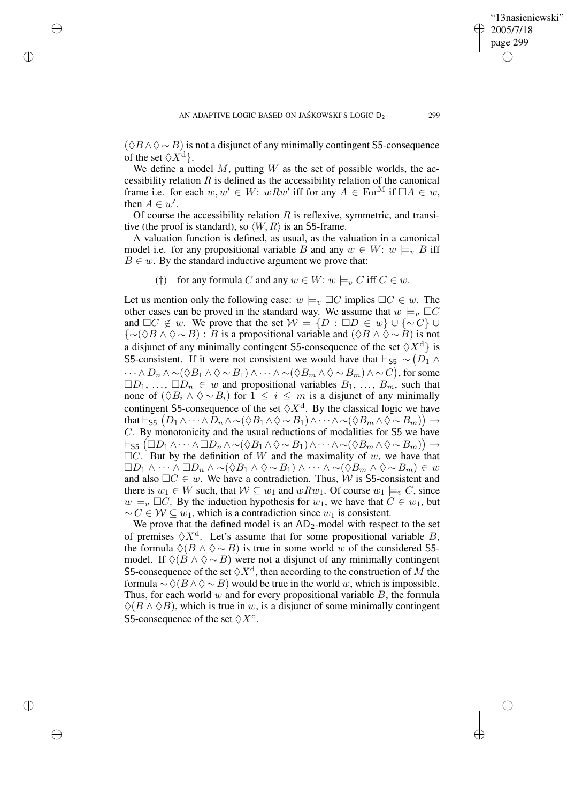✐

✐

✐

 $(\Diamond B \land \Diamond \sim B)$  is not a disjunct of any minimally contingent S5-consequence of the set  $\langle X^d \rangle$ .

We define a model  $M$ , putting  $W$  as the set of possible worlds, the accessibility relation  $R$  is defined as the accessibility relation of the canonical frame i.e. for each  $w, w' \in W$ :  $wRw'$  iff for any  $A \in \text{For}^M$  if  $\Box A \in w$ , then  $A \in w'$ .

Of course the accessibility relation  $R$  is reflexive, symmetric, and transitive (the proof is standard), so  $\langle W, R \rangle$  is an S5-frame.

A valuation function is defined, as usual, as the valuation in a canonical model i.e. for any propositional variable B and any  $w \in W$ :  $w \models_v B$  iff  $B \in \mathfrak{w}$ . By the standard inductive argument we prove that:

(†) for any formula C and any  $w \in W$ :  $w \models_v C$  iff  $C \in w$ .

Let us mention only the following case:  $w \models_v \Box C$  implies  $\Box C \in w$ . The other cases can be proved in the standard way. We assume that  $w \models_v \Box C$ and  $\Box C \notin w$ . We prove that the set  $W = \{D : \Box D \in w\} \cup \{\sim C\} \cup$  ${\sim}(\Diamond B \land \Diamond \sim B)$ : B is a propositional variable and  $(\Diamond B \land \Diamond \sim B)$  is not a disjunct of any minimally contingent S5-consequence of the set  $\langle X^d \rangle$  is S5-consistent. If it were not consistent we would have that  $\vdash_{\mathsf{S5}} \sim (D_1 \land D_2)$  $\cdots \wedge D_n \wedge \sim (\lozenge B_1 \wedge \lozenge \sim B_1) \wedge \cdots \wedge \sim (\lozenge B_m \wedge \lozenge \sim B_m) \wedge \sim C$ ), for some  $\Box D_1, \ldots, \Box D_n \in w$  and propositional variables  $B_1, \ldots, B_m$ , such that none of  $(♦B_i ∧ ♦∼B_i)$  for  $1 ≤ i ≤ m$  is a disjunct of any minimally contingent S5-consequence of the set  $\Diamond X^d$ . By the classical logic we have that  $\vdash_{\sf S5} \big(D_1 \wedge \cdots \wedge D_n \wedge \sim (\lozenge B_1 \wedge \lozenge \sim B_1) \wedge \cdots \wedge \sim (\lozenge B_m \wedge \lozenge \sim B_m)\big) \rightarrow$ C. By monotonicity and the usual reductions of modalities for S5 we have  $\vdash_{\mathsf{S5}} (\Box D_1 \land \dots \land \Box D_n \land \sim (\Diamond B_1 \land \Diamond \sim B_1) \land \dots \land \sim (\Diamond B_m \land \Diamond \sim B_m)) \rightarrow$  $\Box C$ . But by the definition of W and the maximality of w, we have that  $\Box D_1 \wedge \cdots \wedge \Box D_n \wedge \sim (\Diamond B_1 \wedge \Diamond \sim B_1) \wedge \cdots \wedge \sim (\Diamond B_m \wedge \Diamond \sim B_m) \in w$ and also  $\Box C \in w$ . We have a contradiction. Thus, W is S5-consistent and there is  $w_1 \in W$  such, that  $W \subseteq w_1$  and  $wRw_1$ . Of course  $w_1 \models_v C$ , since  $w \models_v \Box C$ . By the induction hypothesis for  $w_1$ , we have that  $C \in w_1$ , but  $\sim C \in \mathcal{W} \subseteq w_1$ , which is a contradiction since  $w_1$  is consistent.

We prove that the defined model is an  $AD_2$ -model with respect to the set of premises  $\Diamond X^d$ . Let's assume that for some propositional variable B, the formula  $\Diamond (B \land \Diamond \sim B)$  is true in some world w of the considered S5model. If  $\Diamond$ ( $B \land \Diamond \sim B$ ) were not a disjunct of any minimally contingent S5-consequence of the set  $\Diamond X^{\mathrm{d}}$ , then according to the construction of M the formula  $\sim \Diamond (B \land \Diamond \sim B)$  would be true in the world w, which is impossible. Thus, for each world  $w$  and for every propositional variable  $B$ , the formula  $\Diamond$ ( $B \land \Diamond B$ ), which is true in w, is a disjunct of some minimally contingent S5-consequence of the set  $\Diamond X^{\mathrm{d}}$ .

"13nasieniewski"

2005/7/18 page 299

✐

✐

✐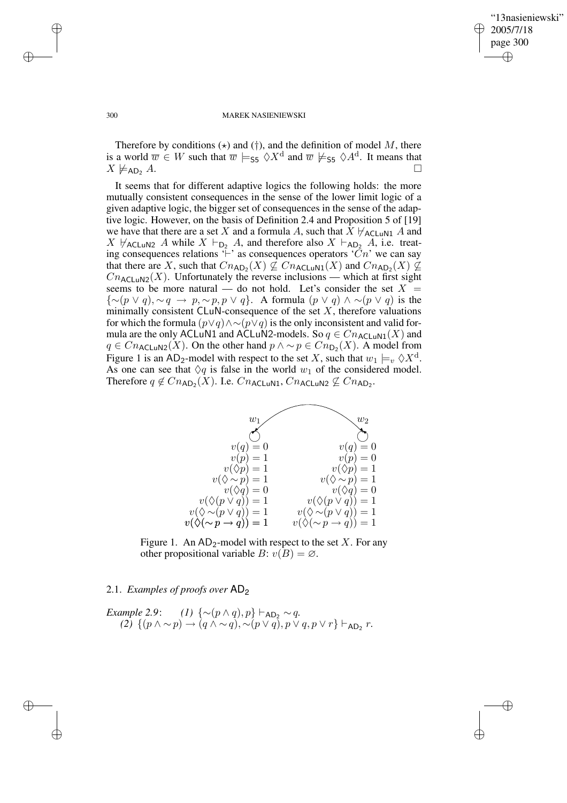$\bigoplus$ 

✐

#### 300 MAREK NASIENIEWSKI

Therefore by conditions  $(\star)$  and  $(\dagger)$ , and the definition of model M, there is a world  $\overline{w} \in W$  such that  $\overline{w} \models_{\mathsf{S5}} \Diamond X^{\mathsf{d}}$  and  $\overline{w} \not\models_{\mathsf{S5}} \Diamond A^{\mathsf{d}}$ . It means that  $X \not\models_{AD_2} A$ .

It seems that for different adaptive logics the following holds: the more mutually consistent consequences in the sense of the lower limit logic of a given adaptive logic, the bigger set of consequences in the sense of the adaptive logic. However, on the basis of Definition 2.4 and Proposition 5 of [19] we have that there are a set X and a formula A, such that  $X \not\vdash_{\mathsf{ACLuN1}} A$  and  $X \nvdash_{\mathsf{ACL} \cup \mathsf{N2}} A$  while  $X \vdash_{\mathsf{D}_2} A$ , and therefore also  $X \vdash_{\mathsf{AD}_2} A$ , i.e. treating consequences relations  $\vdash'$  as consequences operators  $\lceil Cn \rceil$  we can say that there are X, such that  $Cn_{\sf AD_2}(X) \not\subseteq Cn_{\sf ACLuN1}(X)$  and  $Cn_{\sf AD_2}(X) \not\subseteq Cn_{\sf ACLuN1}(X)$  $Cn_{\text{ACL-UV2}}(X)$ . Unfortunately the reverse inclusions — which at first sight seems to be more natural — do not hold. Let's consider the set  $X =$  ${\sim(p \vee q), \sim q \rightarrow p, \sim p, p \vee q}.$  A formula  $(p \vee q) \wedge \sim (p \vee q)$  is the minimally consistent  $CLuN$ -consequence of the set  $X$ , therefore valuations for which the formula  $(p\vee q)\wedge \sim (p\vee q)$  is the only inconsistent and valid formula are the only ACLuN1 and ACLuN2-models. So  $q \in Cn_{\text{ACLUN1}}(X)$  and  $q \in Cn_{\text{ACLUN2}}(X)$ . On the other hand  $p \wedge \sim p \in Cn_{\text{D}_2}(X)$ . A model from Figure 1 is an AD<sub>2</sub>-model with respect to the set X, such that  $w_1 \models_v \Diamond X^d$ . As one can see that  $\Diamond q$  is false in the world  $w_1$  of the considered model. Therefore  $q \notin Cn_{AD_2}(X)$ . I.e.  $Cn_{ACLuN1}$ ,  $Cn_{ACLuN2} \nsubseteq Cn_{AD_2}$ .



Figure 1. An  $AD_2$ -model with respect to the set X. For any other propositional variable  $B: v(B) = \emptyset$ .

2.1. *Examples of proofs over* AD<sup>2</sup>

*Example* 2.9: *(1)*  $\{\sim (p \wedge q), p\} \vdash_{AD_2} \sim q$ . *(2)*  $\{(p \land \sim p) \rightarrow (q \land \sim q), \sim (p \lor q), p \lor q, p \lor r\} \vdash_{AD_2} r.$ 

✐

✐

✐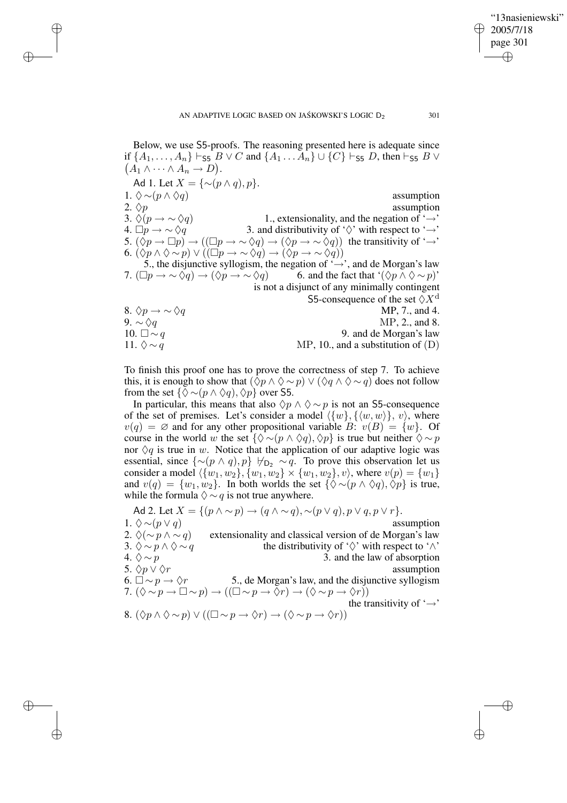✐

✐

✐

✐

✐

Below, we use S5-proofs. The reasoning presented here is adequate since if  $\{A_1, \ldots, A_n\} \vdash_{\sf S5} B \lor C$  and  $\{A_1 \ldots A_n\} \cup \{C\} \vdash_{\sf S5} D$ , then  $\vdash_{\sf S5} B \lor C$  $(A_1 \wedge \cdots \wedge A_n \rightarrow D).$ Ad 1. Let  $X = \{ \sim (p \wedge q), p \}.$ 1.  $\diamond \sim (p \land \diamond q)$  assumption<br>2.  $\diamond p$  assumption assumption 3.  $\Diamond (p \rightarrow \Diamond q)$  1., extensionality, and the negation of '→' 4.  $\Box p \rightarrow \sim \Diamond q$  3. and distributivity of ' $\Diamond$ ' with respect to '→' 5.  $(\Diamond p \to \Box p) \to ((\Box p \to \sim \Diamond q) \to (\Diamond p \to \sim \Diamond q))$  the transitivity of '→' 6.  $(\Diamond p \land \Diamond \sim p) \lor ((\Box p \to \sim \Diamond q) \to (\Diamond p \to \sim \Diamond q))$ 5., the disjunctive syllogism, the negation of ' $\rightarrow$ ', and de Morgan's law 7.  $(\Box p \to \sim \Diamond q) \to (\Diamond p \to \sim \Diamond q)$  6. and the fact that ' $(\Diamond p \land \Diamond \sim p)$ ' is not a disjunct of any minimally contingent S5-consequence of the set  $\Diamond X^d$ <br>MP, 7., and 4. 8.  $\Diamond p \rightarrow \sim \Diamond q$ 9.  $\sim \Diamond q$  MP, 2., and 8. 10.  $\Box \sim q$  9. and de Morgan's law 11.  $\lozenge \sim q$  MP, 10., and a substitution of (D)

To finish this proof one has to prove the correctness of step 7. To achieve this, it is enough to show that  $(\Diamond p \land \Diamond \sim p) \lor (\Diamond q \land \Diamond \sim q)$  does not follow from the set  $\{\Diamond \sim (p \land \Diamond q), \Diamond p\}$  over S5.

In particular, this means that also  $\Diamond p \land \Diamond \sim p$  is not an S5-consequence of the set of premises. Let's consider a model  $\langle \{w\}, \{\langle w, w\rangle\}, v\rangle$ , where  $v(q) = \emptyset$  and for any other propositional variable B:  $v(B) = \{w\}$ . Of course in the world w the set  $\{\Diamond \sim (p \land \Diamond q), \Diamond p\}$  is true but neither  $\Diamond \sim p$ nor  $\Diamond q$  is true in w. Notice that the application of our adaptive logic was essential, since  $\{\sim (p \wedge q), p\}$   $\forall_{\mathsf{D}_2} \sim q$ . To prove this observation let us consider a model  $\{\{w_1, w_2\}, \{w_1, w_2\} \times \{w_1, w_2\}, v\}$ , where  $v(p) = \{w_1\}$ and  $v(q) = \{w_1, w_2\}$ . In both worlds the set  $\{\Diamond \sim (p \land \Diamond q), \Diamond p\}$  is true, while the formula  $\diamondsuit \sim q$  is not true anywhere.

Ad 2. Let  $X = \{(p \land \sim p) \rightarrow (q \land \sim q), \sim (p \lor q), p \lor q, p \lor r\}.$ 1.  $\Diamond \sim (p \lor q)$  assumption 2.  $\Diamond(\sim p \land \sim q)$  extensionality and classical version of de Morgan's law 3.  $\diamond \sim p \land \diamond \sim q$ <br>4.  $\diamond \sim p$ <br>4.  $\diamond \sim p$ <br>3. and the law of absorption 3. and the law of absorption 5.  $\Diamond p \lor \Diamond r$  assumption<br>6.  $\Box \sim p \rightarrow \Diamond r$  5.. de Morgan's law, and the disjunctive syllogism 5., de Morgan's law, and the disjunctive syllogism 7.  $(\Diamond \sim p \rightarrow \Box \sim p) \rightarrow ((\Box \sim p \rightarrow \Diamond r) \rightarrow (\Diamond \sim p \rightarrow \Diamond r))$ the transitivity of  $\rightarrow$ ' 8.  $(\Diamond p \land \Diamond \sim p) \lor ((\Box \sim p \rightarrow \Diamond r) \rightarrow (\Diamond \sim p \rightarrow \Diamond r))$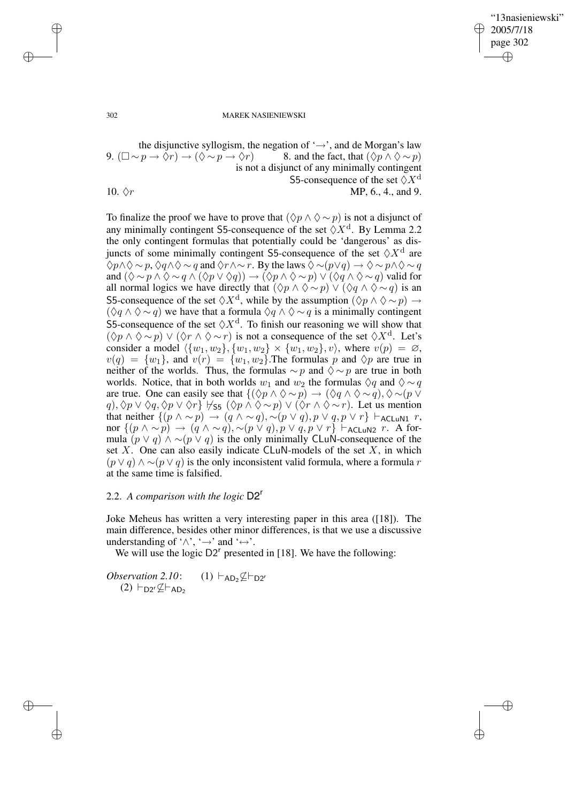✐

### 302 MAREK NASIENIEWSKI

the disjunctive syllogism, the negation of '→', and de Morgan's law<br>  $p \rightarrow \Diamond r$   $\rightarrow (\Diamond \sim p \rightarrow \Diamond r)$  8. and the fact, that  $(\Diamond p \land \Diamond \sim p)$ 9.  $(\Box \sim p \rightarrow \Diamond r) \rightarrow (\Diamond \sim p \rightarrow \Diamond r).$ is not a disjunct of any minimally contingent S5-consequence of the set  $\Diamond X^d$ 10.  $\Diamond r$  MP, 6., 4., and 9.

To finalize the proof we have to prove that  $(\Diamond p \land \Diamond \sim p)$  is not a disjunct of any minimally contingent S5-consequence of the set  $\Diamond X^d$ . By Lemma 2.2 the only contingent formulas that potentially could be 'dangerous' as disjuncts of some minimally contingent S5-consequence of the set  $\lozenge X^d$  are  $\Diamond p \land \Diamond \sim p$ ,  $\Diamond q \land \Diamond \sim q$  and  $\Diamond r \land \sim r$ . By the laws  $\Diamond \sim (p \lor q) \rightarrow \Diamond \sim p \land \Diamond \sim q$ and  $(\Diamond \sim p \land \Diamond \sim q \land (\Diamond p \lor \Diamond q)) \rightarrow (\Diamond p \land \Diamond \sim p) \lor (\Diamond q \land \Diamond \sim q)$  valid for all normal logics we have directly that  $(\Diamond p \land \Diamond \sim p) \lor (\Diamond q \land \Diamond \sim q)$  is an S5-consequence of the set  $\Diamond X^{\mathrm{d}}$ , while by the assumption  $(\Diamond p \land \Diamond \sim p) \rightarrow$  $(\Diamond q \land \Diamond \sim q)$  we have that a formula  $\Diamond q \land \Diamond \sim q$  is a minimally contingent S5-consequence of the set  $\Diamond X^d$ . To finish our reasoning we will show that  $(\Diamond p \land \Diamond \sim p) \lor (\Diamond r \land \Diamond \sim r)$  is not a consequence of the set  $\Diamond X^d$ . Let's consider a model  $\langle \{w_1, w_2\}, \{w_1, w_2\} \times \{w_1, w_2\}, v \rangle$ , where  $v(p) = \emptyset$ ,  $v(q) = \{w_1\}$ , and  $v(r) = \{w_1, w_2\}$ . The formulas p and  $\Diamond p$  are true in neither of the worlds. Thus, the formulas  $\sim p$  and  $\Diamond \sim p$  are true in both worlds. Notice, that in both worlds  $w_1$  and  $w_2$  the formulas  $\Diamond q$  and  $\Diamond \sim q$ are true. One can easily see that  ${(\Diamond p \land \Diamond \sim p) \to (\Diamond q \land \Diamond \sim q), \Diamond \sim (p \lor \Diamond \lor \Diamond \sim p)}$  $q$ ),  $\Diamond p \lor \Diamond q$ ,  $\Diamond p \lor \Diamond r$ }  $\forall s_5 (\Diamond p \land \Diamond \sim p) \lor (\Diamond r \land \Diamond \sim r)$ . Let us mention that neither  $\{(p \land \sim p) \rightarrow (q \land \sim q), \sim (p \lor q), p \lor q, p \lor r\} \vdash_{\text{ACLuN1}} r$ , nor  $\{(p \wedge \sim p) \rightarrow (q \wedge \sim q), \sim (p \vee q), p \vee q, p \vee r\} \vdash_{\mathsf{ACLuN2}} r$ . A formula  $(p \lor q) \land \sim (p \lor q)$  is the only minimally CLuN-consequence of the set  $X$ . One can also easily indicate CLuN-models of the set  $X$ , in which  $(p \vee q) \wedge \neg (p \vee q)$  is the only inconsistent valid formula, where a formula r at the same time is falsified.

### 2.2. *A comparison with the logic* D2<sup>r</sup>

Joke Meheus has written a very interesting paper in this area ([18]). The main difference, besides other minor differences, is that we use a discussive understanding of ' $\wedge$ ', ' $\rightarrow$ ' and ' $\leftrightarrow$ '.

We will use the logic  $D2^r$  presented in [18]. We have the following:

*Observation* 2.10:  $(1)$   $\vdash_{AD_2}\nsubseteq \vdash_{D2^r}$  $(2)$   $\vdash_{D2} \subseteq \vdash_{AD2}$ 

✐

✐

✐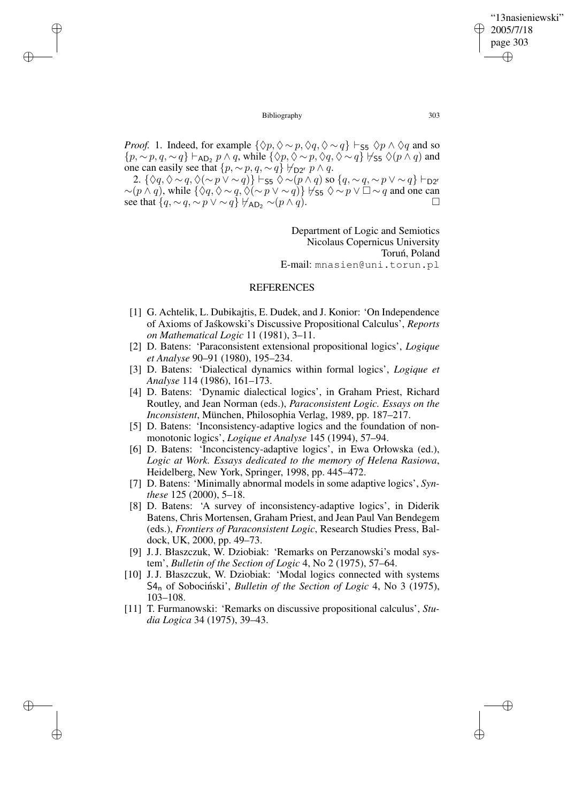✐

### Bibliography 303

✐

✐

✐

✐

*Proof.* 1. Indeed, for example  $\{\Diamond p, \Diamond \sim p, \Diamond q, \Diamond \sim q\} \vdash_{\mathsf{S5}} \Diamond p \land \Diamond q$  and so  $\{p, \sim p, q, \sim q\} \vdash_{AD_2} p \land q$ , while  $\{\Diamond p, \Diamond \sim p, \Diamond q, \Diamond \sim q\} \not\vdash_{SB} \Diamond(p \land q)$  and one can easily see that  $\{p, \sim p, q, \sim q\} \not\vdash_{D2^r} p \land q$ .

2.  $\{\Diamond q, \Diamond \sim q, \Diamond(\sim p \vee \sim q)\} \vdash_{\mathsf{S5}} \Diamond \sim (p \land q) \text{ so } \{q, \sim q, \sim p \vee \sim q\} \vdash_{\mathsf{D2^r}}$  $\sim (p \wedge q)$ , while  $\{\Diamond q, \Diamond \sim q, \Diamond (\sim p \vee \sim q)\}\notimes_{55} \Diamond \sim p \vee \Box \sim q$  and one can see that  $\{q, \sim q, \sim p \vee \sim q\}$   $\forall$ AD<sub>2</sub> ∼ $(p \wedge q)$ .

> Department of Logic and Semiotics Nicolaus Copernicus University Toruń, Poland E-mail: mnasien@uni.torun.pl

# **REFERENCES**

- [1] G. Achtelik, L. Dubikajtis, E. Dudek, and J. Konior: 'On Independence of Axioms of Jaskowski's Discussive Propositional Calculus', *Reports on Mathematical Logic* 11 (1981), 3–11.
- [2] D. Batens: 'Paraconsistent extensional propositional logics', *Logique et Analyse* 90–91 (1980), 195–234.
- [3] D. Batens: 'Dialectical dynamics within formal logics', *Logique et Analyse* 114 (1986), 161–173.
- [4] D. Batens: 'Dynamic dialectical logics', in Graham Priest, Richard Routley, and Jean Norman (eds.), *Paraconsistent Logic. Essays on the Inconsistent*, München, Philosophia Verlag, 1989, pp. 187–217.
- [5] D. Batens: 'Inconsistency-adaptive logics and the foundation of nonmonotonic logics', *Logique et Analyse* 145 (1994), 57–94.
- [6] D. Batens: 'Inconcistency-adaptive logics', in Ewa Orłowska (ed.), *Logic at Work. Essays dedicated to the memory of Helena Rasiowa*, Heidelberg, New York, Springer, 1998, pp. 445–472.
- [7] D. Batens: 'Minimally abnormal models in some adaptive logics', *Synthese* 125 (2000), 5–18.
- [8] D. Batens: 'A survey of inconsistency-adaptive logics', in Diderik Batens, Chris Mortensen, Graham Priest, and Jean Paul Van Bendegem (eds.), *Frontiers of Paraconsistent Logic*, Research Studies Press, Baldock, UK, 2000, pp. 49–73.
- [9] J.J. Błaszczuk, W. Dziobiak: 'Remarks on Perzanowski's modal system', *Bulletin of the Section of Logic* 4, No 2 (1975), 57–64.
- [10] J.J. Błaszczuk, W. Dziobiak: 'Modal logics connected with systems S4<sup>n</sup> of Sobocinski', ´ *Bulletin of the Section of Logic* 4, No 3 (1975), 103–108.
- [11] T. Furmanowski: 'Remarks on discussive propositional calculus', *Studia Logica* 34 (1975), 39–43.